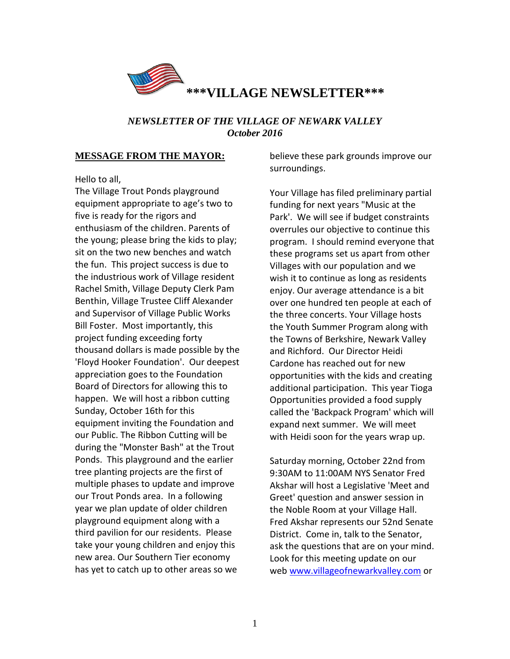

## *NEWSLETTER OF THE VILLAGE OF NEWARK VALLEY October 2016*

### **MESSAGE FROM THE MAYOR:**

Hello to all,

The Village Trout Ponds playground equipment appropriate to age's two to five is ready for the rigors and enthusiasm of the children. Parents of the young; please bring the kids to play; sit on the two new benches and watch the fun. This project success is due to the industrious work of Village resident Rachel Smith, Village Deputy Clerk Pam Benthin, Village Trustee Cliff Alexander and Supervisor of Village Public Works Bill Foster. Most importantly, this project funding exceeding forty thousand dollars is made possible by the 'Floyd Hooker Foundation'. Our deepest appreciation goes to the Foundation Board of Directors for allowing this to happen. We will host a ribbon cutting Sunday, October 16th for this equipment inviting the Foundation and our Public. The Ribbon Cutting will be during the "Monster Bash" at the Trout Ponds. This playground and the earlier tree planting projects are the first of multiple phases to update and improve our Trout Ponds area. In a following year we plan update of older children playground equipment along with a third pavilion for our residents. Please take your young children and enjoy this new area. Our Southern Tier economy has yet to catch up to other areas so we

believe these park grounds improve our surroundings.

Your Village has filed preliminary partial funding for next years "Music at the Park'. We will see if budget constraints overrules our objective to continue this program. I should remind everyone that these programs set us apart from other Villages with our population and we wish it to continue as long as residents enjoy. Our average attendance is a bit over one hundred ten people at each of the three concerts. Your Village hosts the Youth Summer Program along with the Towns of Berkshire, Newark Valley and Richford. Our Director Heidi Cardone has reached out for new opportunities with the kids and creating additional participation. This year Tioga Opportunities provided a food supply called the 'Backpack Program' which will expand next summer. We will meet with Heidi soon for the years wrap up.

Saturday morning, October 22nd from 9:30AM to 11:00AM NYS Senator Fred Akshar will host a Legislative 'Meet and Greet' question and answer session in the Noble Room at your Village Hall. Fred Akshar represents our 52nd Senate District. Come in, talk to the Senator, ask the questions that are on your mind. Look for this meeting update on our web [www.villageofnewarkvalley.com](http://www.villageofnewarkvalley.com/) or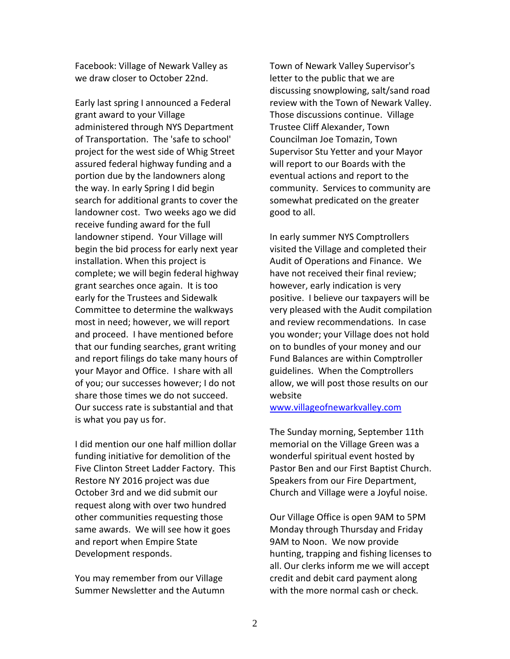Facebook: Village of Newark Valley as we draw closer to October 22nd.

Early last spring I announced a Federal grant award to your Village administered through NYS Department of Transportation. The 'safe to school' project for the west side of Whig Street assured federal highway funding and a portion due by the landowners along the way. In early Spring I did begin search for additional grants to cover the landowner cost. Two weeks ago we did receive funding award for the full landowner stipend. Your Village will begin the bid process for early next year installation. When this project is complete; we will begin federal highway grant searches once again. It is too early for the Trustees and Sidewalk Committee to determine the walkways most in need; however, we will report and proceed. I have mentioned before that our funding searches, grant writing and report filings do take many hours of your Mayor and Office. I share with all of you; our successes however; I do not share those times we do not succeed. Our success rate is substantial and that is what you pay us for.

I did mention our one half million dollar funding initiative for demolition of the Five Clinton Street Ladder Factory. This Restore NY 2016 project was due October 3rd and we did submit our request along with over two hundred other communities requesting those same awards. We will see how it goes and report when Empire State Development responds.

You may remember from our Village Summer Newsletter and the Autumn

Town of Newark Valley Supervisor's letter to the public that we are discussing snowplowing, salt/sand road review with the Town of Newark Valley. Those discussions continue. Village Trustee Cliff Alexander, Town Councilman Joe Tomazin, Town Supervisor Stu Yetter and your Mayor will report to our Boards with the eventual actions and report to the community. Services to community are somewhat predicated on the greater good to all.

In early summer NYS Comptrollers visited the Village and completed their Audit of Operations and Finance. We have not received their final review; however, early indication is very positive. I believe our taxpayers will be very pleased with the Audit compilation and review recommendations. In case you wonder; your Village does not hold on to bundles of your money and our Fund Balances are within Comptroller guidelines. When the Comptrollers allow, we will post those results on our website

[www.villageofnewarkvalley.com](http://www.villageofnewarkvalley.com/)

The Sunday morning, September 11th memorial on the Village Green was a wonderful spiritual event hosted by Pastor Ben and our First Baptist Church. Speakers from our Fire Department, Church and Village were a Joyful noise.

Our Village Office is open 9AM to 5PM Monday through Thursday and Friday 9AM to Noon. We now provide hunting, trapping and fishing licenses to all. Our clerks inform me we will accept credit and debit card payment along with the more normal cash or check.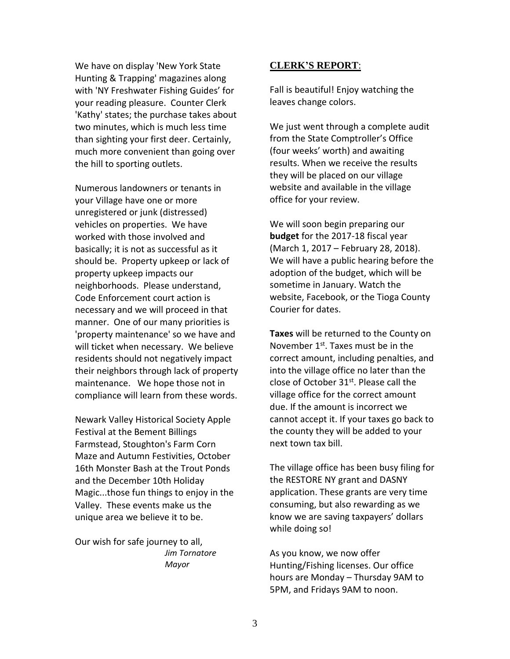We have on display 'New York State Hunting & Trapping' magazines along with 'NY Freshwater Fishing Guides' for your reading pleasure. Counter Clerk 'Kathy' states; the purchase takes about two minutes, which is much less time than sighting your first deer. Certainly, much more convenient than going over the hill to sporting outlets.

Numerous landowners or tenants in your Village have one or more unregistered or junk (distressed) vehicles on properties. We have worked with those involved and basically; it is not as successful as it should be. Property upkeep or lack of property upkeep impacts our neighborhoods. Please understand, Code Enforcement court action is necessary and we will proceed in that manner. One of our many priorities is 'property maintenance' so we have and will ticket when necessary. We believe residents should not negatively impact their neighbors through lack of property maintenance. We hope those not in compliance will learn from these words.

Newark Valley Historical Society Apple Festival at the Bement Billings Farmstead, Stoughton's Farm Corn Maze and Autumn Festivities, October 16th Monster Bash at the Trout Ponds and the December 10th Holiday Magic...those fun things to enjoy in the Valley. These events make us the unique area we believe it to be.

Our wish for safe journey to all, *Jim Tornatore Mayor*

### **CLERK'S REPORT**:

Fall is beautiful! Enjoy watching the leaves change colors.

We just went through a complete audit from the State Comptroller's Office (four weeks' worth) and awaiting results. When we receive the results they will be placed on our village website and available in the village office for your review.

We will soon begin preparing our **budget** for the 2017-18 fiscal year (March 1, 2017 – February 28, 2018). We will have a public hearing before the adoption of the budget, which will be sometime in January. Watch the website, Facebook, or the Tioga County Courier for dates.

**Taxes** will be returned to the County on November  $1<sup>st</sup>$ . Taxes must be in the correct amount, including penalties, and into the village office no later than the close of October  $31<sup>st</sup>$ . Please call the village office for the correct amount due. If the amount is incorrect we cannot accept it. If your taxes go back to the county they will be added to your next town tax bill.

The village office has been busy filing for the RESTORE NY grant and DASNY application. These grants are very time consuming, but also rewarding as we know we are saving taxpayers' dollars while doing so!

As you know, we now offer Hunting/Fishing licenses. Our office hours are Monday – Thursday 9AM to 5PM, and Fridays 9AM to noon.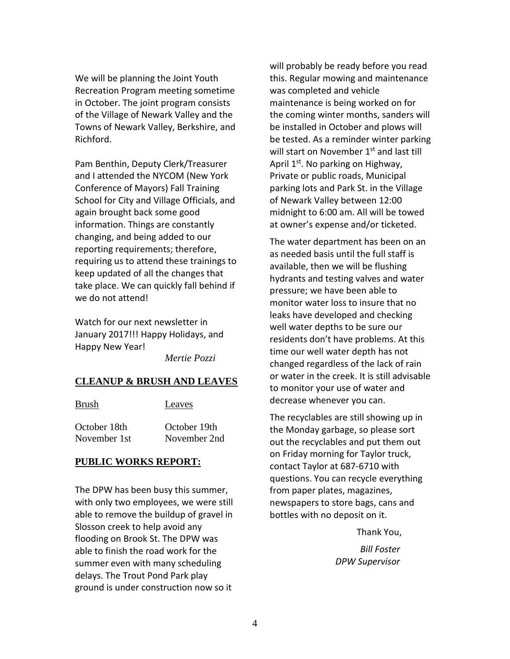We will be planning the Joint Youth Recreation Program meeting sometime in October. The joint program consists of the Village of Newark Valley and the Towns of Newark Valley, Berkshire, and Richford.

Pam Benthin, Deputy Clerk/Treasurer and I attended the NYCOM (New York Conference of Mayors) Fall Training School for City and Village Officials, and again brought back some good information. Things are constantly changing, and being added to our reporting requirements; therefore, requiring us to attend these trainings to keep updated of all the changes that take place. We can quickly fall behind if we do not attend!

Watch for our next newsletter in January 2017!!! Happy Holidays, and Happy New Year!

*Mertie Pozzi*

### **CLEANUP & BRUSH AND LEAVES**

| <b>Brush</b> | Leaves       |
|--------------|--------------|
| October 18th | October 19th |
| November 1st | November 2nd |

### **PUBLIC WORKS REPORT:**

The DPW has been busy this summer, with only two employees, we were still able to remove the buildup of gravel in Slosson creek to help avoid any flooding on Brook St. The DPW was able to finish the road work for the summer even with many scheduling delays. The Trout Pond Park play ground is under construction now so it

will probably be ready before you read this. Regular mowing and maintenance was completed and vehicle maintenance is being worked on for the coming winter months, sanders will be installed in October and plows will be tested. As a reminder winter parking will start on November 1<sup>st</sup> and last till April  $1^{st}$ . No parking on Highway, Private or public roads, Municipal parking lots and Park St. in the Village of Newark Valley between 12:00 midnight to 6:00 am. All will be towed at owner's expense and/or ticketed.

The water department has been on an as needed basis until the full staff is available, then we will be flushing hydrants and testing valves and water pressure; we have been able to monitor water loss to insure that no leaks have developed and checking well water depths to be sure our residents don't have problems. At this time our well water depth has not changed regardless of the lack of rain or water in the creek. It is still advisable to monitor your use of water and decrease whenever you can.

The recyclables are still showing up in the Monday garbage, so please sort out the recyclables and put them out on Friday morning for Taylor truck, contact Taylor at 687-6710 with questions. You can recycle everything from paper plates, magazines, newspapers to store bags, cans and bottles with no deposit on it.

> Thank You,  *Bill Foster DPW Supervisor*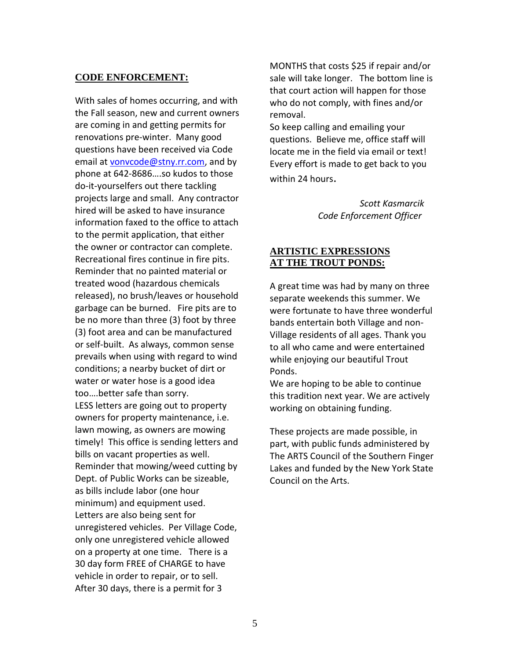## **CODE ENFORCEMENT:**

With sales of homes occurring, and with the Fall season, new and current owners are coming in and getting permits for renovations pre-winter. Many good questions have been received via Code email at [vonvcode@stny.rr.com,](mailto:vonvcode@stny.rr.com) and by phone at 642-8686….so kudos to those do-it-yourselfers out there tackling projects large and small. Any contractor hired will be asked to have insurance information faxed to the office to attach to the permit application, that either the owner or contractor can complete. Recreational fires continue in fire pits. Reminder that no painted material or treated wood (hazardous chemicals released), no brush/leaves or household garbage can be burned. Fire pits are to be no more than three (3) foot by three (3) foot area and can be manufactured or self-built. As always, common sense prevails when using with regard to wind conditions; a nearby bucket of dirt or water or water hose is a good idea too….better safe than sorry. LESS letters are going out to property owners for property maintenance, i.e. lawn mowing, as owners are mowing timely! This office is sending letters and bills on vacant properties as well. Reminder that mowing/weed cutting by Dept. of Public Works can be sizeable, as bills include labor (one hour minimum) and equipment used. Letters are also being sent for unregistered vehicles. Per Village Code, only one unregistered vehicle allowed on a property at one time. There is a 30 day form FREE of CHARGE to have vehicle in order to repair, or to sell. After 30 days, there is a permit for 3

MONTHS that costs \$25 if repair and/or sale will take longer. The bottom line is that court action will happen for those who do not comply, with fines and/or removal.

So keep calling and emailing your questions. Believe me, office staff will locate me in the field via email or text! Every effort is made to get back to you within 24 hours.

> *Scott Kasmarcik Code Enforcement Officer*

# **ARTISTIC EXPRESSIONS AT THE TROUT PONDS:**

A great time was had by many on three separate weekends this summer. We were fortunate to have three wonderful bands entertain both Village and non-Village residents of all ages. Thank you to all who came and were entertained while enjoying our beautiful Trout Ponds.

We are hoping to be able to continue this tradition next year. We are actively working on obtaining funding.

These projects are made possible, in part, with public funds administered by The ARTS Council of the Southern Finger Lakes and funded by the New York State Council on the Arts.